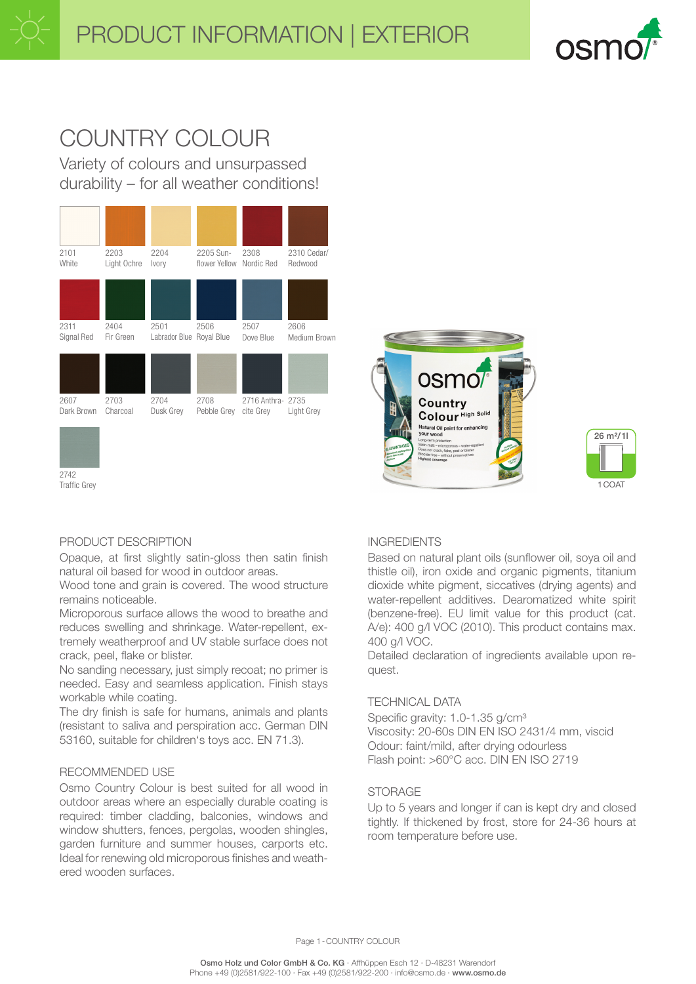

# COUNTRY COLOUR

Variety of colours and unsurpassed durability – for all weather conditions!







# PRODUCT DESCRIPTION

2742 Traffic Grey

Opaque, at first slightly satin-gloss then satin finish natural oil based for wood in outdoor areas.

Wood tone and grain is covered. The wood structure remains noticeable.

Microporous surface allows the wood to breathe and reduces swelling and shrinkage. Water-repellent, extremely weatherproof and UV stable surface does not crack, peel, flake or blister.

No sanding necessary, just simply recoat; no primer is needed. Easy and seamless application. Finish stays workable while coating.

The dry finish is safe for humans, animals and plants (resistant to saliva and perspiration acc. German DIN 53160, suitable for children's toys acc. EN 71.3).

#### RECOMMENDED USE

Osmo Country Colour is best suited for all wood in outdoor areas where an especially durable coating is required: timber cladding, balconies, windows and window shutters, fences, pergolas, wooden shingles, garden furniture and summer houses, carports etc. Ideal for renewing old microporous finishes and weathered wooden surfaces.

#### INGREDIENTS

Based on natural plant oils (sunflower oil, soya oil and thistle oil), iron oxide and organic pigments, titanium dioxide white pigment, siccatives (drying agents) and water-repellent additives. Dearomatized white spirit (benzene-free). EU limit value for this product (cat. A/e): 400 g/l VOC (2010). This product contains max. 400 g/l VOC.

Detailed declaration of ingredients available upon request.

### TECHNICAL DATA

Specific gravity: 1.0-1.35 g/cm<sup>3</sup> Viscosity: 20-60s DIN EN ISO 2431/4 mm, viscid Odour: faint/mild, after drying odourless Flash point: >60°C acc. DIN EN ISO 2719

#### STORAGE

Up to 5 years and longer if can is kept dry and closed tightly. If thickened by frost, store for 24-36 hours at room temperature before use.